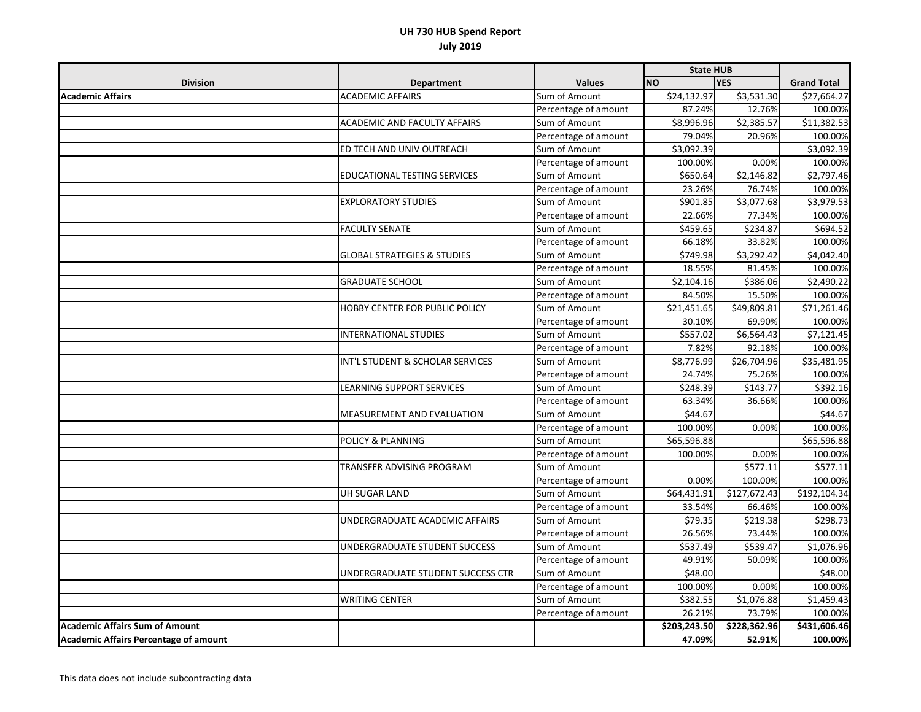|                                              |                                        |                      | <b>State HUB</b>        |                         |                    |
|----------------------------------------------|----------------------------------------|----------------------|-------------------------|-------------------------|--------------------|
| <b>Division</b>                              | <b>Department</b>                      | <b>Values</b>        | <b>NO</b>               | <b>YES</b>              | <b>Grand Total</b> |
| <b>Academic Affairs</b>                      | <b>ACADEMIC AFFAIRS</b>                | Sum of Amount        | \$24,132.97             | \$3,531.30              | \$27,664.27        |
|                                              |                                        | Percentage of amount | 87.24%                  | 12.76%                  | 100.00%            |
|                                              | ACADEMIC AND FACULTY AFFAIRS           | Sum of Amount        | \$8,996.96              | \$2,385.57              | \$11,382.53        |
|                                              |                                        | Percentage of amount | 79.04%                  | 20.96%                  | 100.00%            |
|                                              | ED TECH AND UNIV OUTREACH              | Sum of Amount        | \$3,092.39              |                         | \$3,092.39         |
|                                              |                                        | Percentage of amount | 100.00%                 | 0.00%                   | 100.00%            |
|                                              | EDUCATIONAL TESTING SERVICES           | Sum of Amount        | \$650.64                | \$2,146.82              | \$2,797.46         |
|                                              |                                        | Percentage of amount | 23.26%                  | 76.74%                  | 100.00%            |
|                                              | <b>EXPLORATORY STUDIES</b>             | Sum of Amount        | \$901.85                | \$3,077.68              | \$3,979.53         |
|                                              |                                        | Percentage of amount | 22.66%                  | 77.34%                  | 100.00%            |
|                                              | <b>FACULTY SENATE</b>                  | Sum of Amount        | \$459.65                | \$234.87                | \$694.52           |
|                                              |                                        | Percentage of amount | 66.18%                  | 33.82%                  | 100.00%            |
|                                              | <b>GLOBAL STRATEGIES &amp; STUDIES</b> | Sum of Amount        | \$749.98                | \$3,292.42              | \$4,042.40         |
|                                              |                                        | Percentage of amount | 18.55%                  | 81.45%                  | 100.00%            |
|                                              | <b>GRADUATE SCHOOL</b>                 | Sum of Amount        | \$2,104.16              | \$386.06                | \$2,490.22         |
|                                              |                                        | Percentage of amount | 84.50%                  | 15.50%                  | 100.00%            |
|                                              | HOBBY CENTER FOR PUBLIC POLICY         | Sum of Amount        | $\overline{$}21,451.65$ | \$49,809.81             | \$71,261.46        |
|                                              |                                        | Percentage of amount | 30.10%                  | 69.90%                  | 100.00%            |
|                                              | <b>INTERNATIONAL STUDIES</b>           | Sum of Amount        | \$557.02                | \$6,564.43              | \$7,121.45         |
|                                              |                                        | Percentage of amount | 7.82%                   | 92.18%                  | 100.00%            |
|                                              | INT'L STUDENT & SCHOLAR SERVICES       | Sum of Amount        | \$8,776.99              | $\overline{$}26,704.96$ | \$35,481.95        |
|                                              |                                        | Percentage of amount | 24.74%                  | 75.26%                  | 100.00%            |
|                                              | LEARNING SUPPORT SERVICES              | Sum of Amount        | \$248.39                | \$143.77                | \$392.16           |
|                                              |                                        | Percentage of amount | 63.34%                  | 36.66%                  | 100.00%            |
|                                              | MEASUREMENT AND EVALUATION             | Sum of Amount        | \$44.67                 |                         | \$44.67            |
|                                              |                                        | Percentage of amount | 100.00%                 | 0.00%                   | 100.00%            |
|                                              | <b>POLICY &amp; PLANNING</b>           | Sum of Amount        | \$65,596.88             |                         | \$65,596.88        |
|                                              |                                        | Percentage of amount | 100.00%                 | 0.00%                   | 100.00%            |
|                                              | TRANSFER ADVISING PROGRAM              | Sum of Amount        |                         | \$577.11                | \$577.11           |
|                                              |                                        | Percentage of amount | 0.00%                   | 100.00%                 | 100.00%            |
|                                              | UH SUGAR LAND                          | Sum of Amount        | \$64,431.91             | \$127,672.43            | \$192,104.34       |
|                                              |                                        | Percentage of amount | 33.54%                  | 66.46%                  | 100.00%            |
|                                              | UNDERGRADUATE ACADEMIC AFFAIRS         | Sum of Amount        | \$79.35                 | \$219.38                | \$298.73           |
|                                              |                                        | Percentage of amount | 26.56%                  | 73.44%                  | 100.00%            |
|                                              | UNDERGRADUATE STUDENT SUCCESS          | Sum of Amount        | \$537.49                | \$539.47                | \$1,076.96         |
|                                              |                                        | Percentage of amount | 49.91%                  | 50.09%                  | 100.00%            |
|                                              | UNDERGRADUATE STUDENT SUCCESS CTR      | Sum of Amount        | \$48.00                 |                         | \$48.00            |
|                                              |                                        | Percentage of amount | 100.00%                 | 0.00%                   | 100.00%            |
|                                              | <b>WRITING CENTER</b>                  | Sum of Amount        | \$382.55                | \$1,076.88              | \$1,459.43         |
|                                              |                                        | Percentage of amount | 26.21%                  | 73.79%                  | 100.00%            |
| <b>Academic Affairs Sum of Amount</b>        |                                        |                      | \$203,243.50            | \$228,362.96            | \$431,606.46       |
| <b>Academic Affairs Percentage of amount</b> |                                        |                      | 47.09%                  | 52.91%                  | 100.00%            |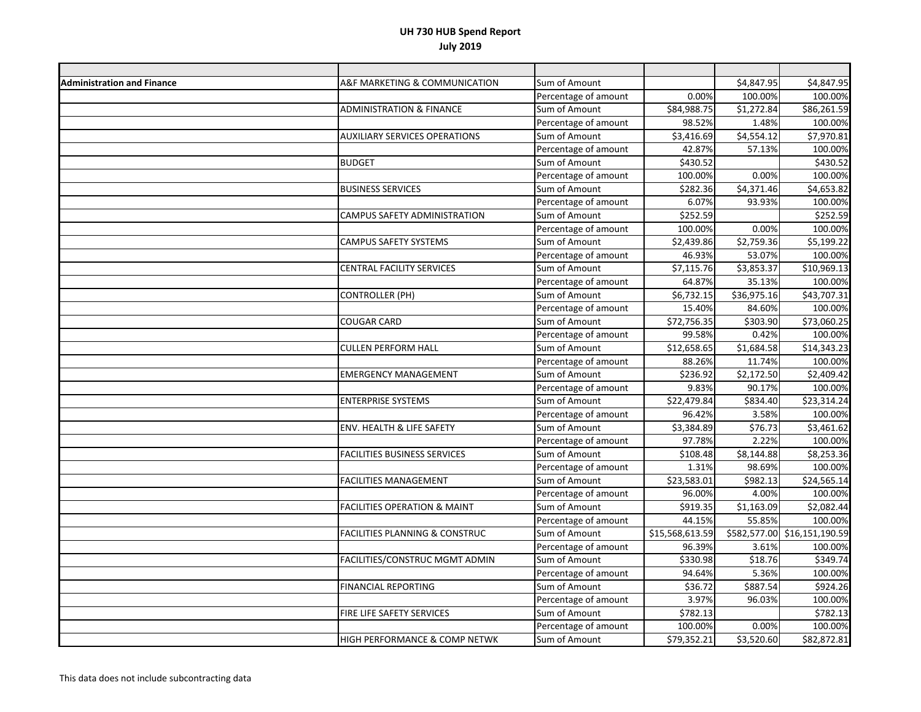| <b>Administration and Finance</b> | A&F MARKETING & COMMUNICATION             | Sum of Amount        |                         | \$4,847.95  | \$4,847.95                   |
|-----------------------------------|-------------------------------------------|----------------------|-------------------------|-------------|------------------------------|
|                                   |                                           | Percentage of amount | 0.00%                   | 100.00%     | 100.00%                      |
|                                   | <b>ADMINISTRATION &amp; FINANCE</b>       | Sum of Amount        | \$84,988.75             | \$1,272.84  | \$86,261.59                  |
|                                   |                                           | Percentage of amount | 98.52%                  | 1.48%       | 100.00%                      |
|                                   | <b>AUXILIARY SERVICES OPERATIONS</b>      | Sum of Amount        | $\overline{$}3,416.69$  | \$4,554.12  | \$7,970.81                   |
|                                   |                                           | Percentage of amount | 42.87%                  | 57.13%      | 100.00%                      |
|                                   | <b>BUDGET</b>                             | Sum of Amount        | \$430.52                |             | \$430.52                     |
|                                   |                                           | Percentage of amount | 100.00%                 | 0.00%       | 100.00%                      |
|                                   | <b>BUSINESS SERVICES</b>                  | Sum of Amount        | $\overline{$}282.36$    | \$4,371.46  | \$4,653.82                   |
|                                   |                                           | Percentage of amount | 6.07%                   | 93.93%      | 100.00%                      |
|                                   | CAMPUS SAFETY ADMINISTRATION              | Sum of Amount        | \$252.59                |             | \$252.59                     |
|                                   |                                           | Percentage of amount | 100.00%                 | 0.00%       | 100.00%                      |
|                                   | CAMPUS SAFETY SYSTEMS                     | Sum of Amount        | \$2,439.86              | \$2,759.36  | \$5,199.22                   |
|                                   |                                           | Percentage of amount | 46.93%                  | 53.07%      | 100.00%                      |
|                                   | CENTRAL FACILITY SERVICES                 | Sum of Amount        | \$7,115.76              | \$3,853.37  | \$10,969.13                  |
|                                   |                                           | Percentage of amount | 64.87%                  | 35.13%      | 100.00%                      |
|                                   | <b>CONTROLLER (PH)</b>                    | Sum of Amount        | \$6,732.15              | \$36,975.16 | \$43,707.31                  |
|                                   |                                           | Percentage of amount | 15.40%                  | 84.60%      | 100.00%                      |
|                                   | <b>COUGAR CARD</b>                        | Sum of Amount        | $\overline{$}72,756.35$ | \$303.90    | \$73,060.25                  |
|                                   |                                           | Percentage of amount | 99.58%                  | 0.42%       | 100.00%                      |
|                                   | <b>CULLEN PERFORM HALL</b>                | Sum of Amount        | $\overline{$}12,658.65$ | \$1,684.58  | \$14,343.23                  |
|                                   |                                           | Percentage of amount | 88.26%                  | 11.74%      | 100.00%                      |
|                                   | <b>EMERGENCY MANAGEMENT</b>               | Sum of Amount        | \$236.92                | \$2,172.50  | \$2,409.42                   |
|                                   |                                           | Percentage of amount | 9.83%                   | 90.17%      | 100.00%                      |
|                                   | <b>ENTERPRISE SYSTEMS</b>                 | Sum of Amount        | \$22,479.84             | \$834.40    | \$23,314.24                  |
|                                   |                                           | Percentage of amount | 96.42%                  | 3.58%       | 100.00%                      |
|                                   | ENV. HEALTH & LIFE SAFETY                 | Sum of Amount        | \$3,384.89              | \$76.73     | \$3,461.62                   |
|                                   |                                           | Percentage of amount | 97.78%                  | 2.22%       | 100.00%                      |
|                                   | <b>FACILITIES BUSINESS SERVICES</b>       | Sum of Amount        | 5108.48                 | \$8,144.88  | \$8,253.36                   |
|                                   |                                           | Percentage of amount | 1.31%                   | 98.69%      | 100.00%                      |
|                                   | <b>FACILITIES MANAGEMENT</b>              | Sum of Amount        | 523,583.01              | \$982.13    | \$24,565.14                  |
|                                   |                                           | Percentage of amount | 96.00%                  | 4.00%       | 100.00%                      |
|                                   | <b>FACILITIES OPERATION &amp; MAINT</b>   | Sum of Amount        | \$919.35                | \$1,163.09  | \$2,082.44                   |
|                                   |                                           | Percentage of amount | 44.15%                  | 55.85%      | 100.00%                      |
|                                   | <b>FACILITIES PLANNING &amp; CONSTRUC</b> | Sum of Amount        | \$15,568,613.59         |             | \$582,577.00 \$16,151,190.59 |
|                                   |                                           | Percentage of amount | 96.39%                  | 3.61%       | 100.00%                      |
|                                   | FACILITIES/CONSTRUC MGMT ADMIN            | Sum of Amount        | \$330.98                | \$18.76     | \$349.74                     |
|                                   |                                           | Percentage of amount | 94.64%                  | 5.36%       | 100.00%                      |
|                                   | FINANCIAL REPORTING                       | Sum of Amount        | \$36.72                 | \$887.54    | \$924.26                     |
|                                   |                                           | Percentage of amount | 3.97%                   | 96.03%      | 100.00%                      |
|                                   | FIRE LIFE SAFETY SERVICES                 | Sum of Amount        | \$782.13                |             | \$782.13                     |
|                                   |                                           | Percentage of amount | 100.00%                 | 0.00%       | 100.00%                      |
|                                   | HIGH PERFORMANCE & COMP NETWK             | Sum of Amount        | \$79,352.21             | \$3,520.60  | \$82,872.81                  |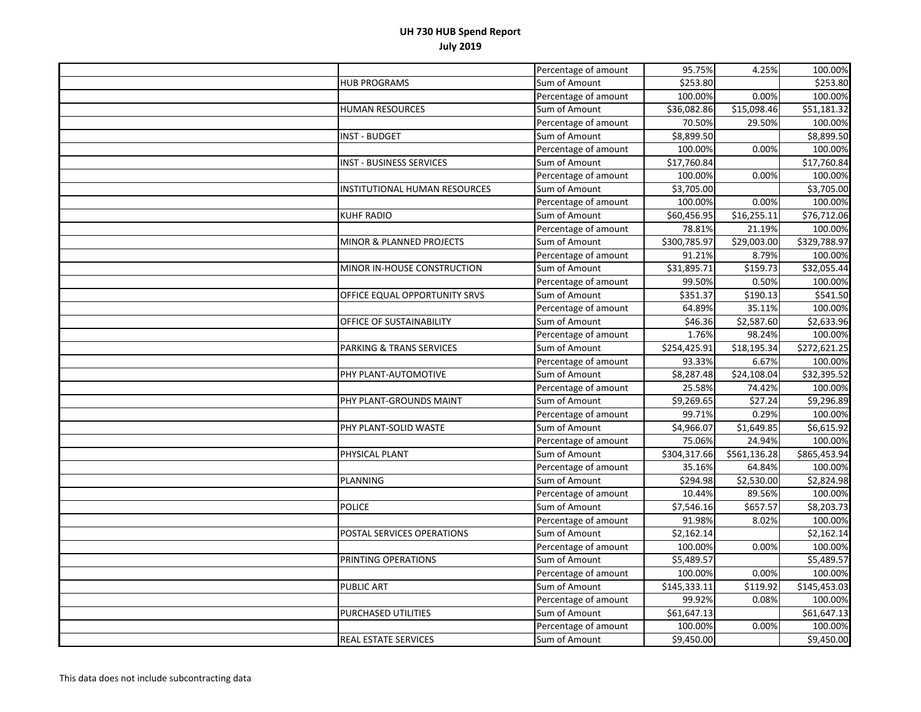|                                     | Percentage of amount | 95.75%                  | 4.25%        | 100.00%      |
|-------------------------------------|----------------------|-------------------------|--------------|--------------|
| <b>HUB PROGRAMS</b>                 | Sum of Amount        | \$253.80                |              | \$253.80     |
|                                     | Percentage of amount | 100.00%                 | 0.00%        | 100.00%      |
| HUMAN RESOURCES                     | Sum of Amount        | $\overline{$}36,082.86$ | \$15,098.46  | 551,181.32   |
|                                     | Percentage of amount | 70.50%                  | 29.50%       | 100.00%      |
| INST - BUDGET                       | Sum of Amount        | \$8,899.50              |              | \$8,899.50   |
|                                     | Percentage of amount | 100.00%                 | 0.00%        | 100.00%      |
| <b>INST - BUSINESS SERVICES</b>     | Sum of Amount        | \$17,760.84             |              | \$17,760.84  |
|                                     | Percentage of amount | 100.00%                 | 0.00%        | 100.00%      |
| INSTITUTIONAL HUMAN RESOURCES       | Sum of Amount        | \$3,705.00              |              | \$3,705.00   |
|                                     | Percentage of amount | 100.00%                 | 0.00%        | 100.00%      |
| KUHF RADIO                          | Sum of Amount        | \$60,456.95             | \$16,255.11  | \$76,712.06  |
|                                     | Percentage of amount | 78.81%                  | 21.19%       | 100.00%      |
| MINOR & PLANNED PROJECTS            | Sum of Amount        | \$300,785.97            | \$29,003.00  | \$329,788.97 |
|                                     | Percentage of amount | 91.21%                  | 8.79%        | 100.00%      |
| MINOR IN-HOUSE CONSTRUCTION         | Sum of Amount        | \$31,895.71             | \$159.73     | \$32,055.44  |
|                                     | Percentage of amount | 99.50%                  | 0.50%        | 100.00%      |
| OFFICE EQUAL OPPORTUNITY SRVS       | Sum of Amount        | \$351.37                | \$190.13     | \$541.50     |
|                                     | Percentage of amount | 64.89%                  | 35.11%       | 100.00%      |
| OFFICE OF SUSTAINABILITY            | Sum of Amount        | \$46.36                 | \$2,587.60   | \$2,633.96   |
|                                     | Percentage of amount | 1.76%                   | 98.24%       | 100.00%      |
| <b>PARKING &amp; TRANS SERVICES</b> | Sum of Amount        | \$254,425.91            | 518,195.34   | \$272,621.25 |
|                                     | Percentage of amount | 93.33%                  | 6.67%        | 100.00%      |
| PHY PLANT-AUTOMOTIVE                | Sum of Amount        | \$8,287.48              | \$24,108.04  | \$32,395.52  |
|                                     | Percentage of amount | 25.58%                  | 74.42%       | 100.00%      |
| PHY PLANT-GROUNDS MAINT             | Sum of Amount        | \$9,269.65              | \$27.24      | \$9,296.89   |
|                                     | Percentage of amount | 99.71%                  | 0.29%        | 100.00%      |
| PHY PLANT-SOLID WASTE               | Sum of Amount        | \$4,966.07              | \$1,649.85   | \$6,615.92   |
|                                     | Percentage of amount | 75.06%                  | 24.94%       | 100.00%      |
| PHYSICAL PLANT                      | Sum of Amount        | \$304,317.66            | \$561,136.28 | \$865,453.94 |
|                                     | Percentage of amount | 35.16%                  | 64.84%       | 100.00%      |
| PLANNING                            | Sum of Amount        | $\overline{$}294.98$    | \$2,530.00   | \$2,824.98   |
|                                     | Percentage of amount | 10.44%                  | 89.56%       | 100.00%      |
| <b>POLICE</b>                       | Sum of Amount        | \$7,546.16              | \$657.57     | \$8,203.73   |
|                                     | Percentage of amount | 91.98%                  | 8.02%        | 100.00%      |
| POSTAL SERVICES OPERATIONS          | Sum of Amount        | \$2,162.14              |              | \$2,162.14   |
|                                     | Percentage of amount | 100.00%                 | 0.00%        | 100.00%      |
| PRINTING OPERATIONS                 | Sum of Amount        | $\overline{$5,489.57}$  |              | \$5,489.57   |
|                                     | Percentage of amount | 100.00%                 | 0.00%        | 100.00%      |
| <b>PUBLIC ART</b>                   | Sum of Amount        | \$145,333.11            | \$119.92     | \$145,453.03 |
|                                     | Percentage of amount | 99.92%                  | 0.08%        | 100.00%      |
| PURCHASED UTILITIES                 | Sum of Amount        | \$61,647.13             |              | \$61,647.13  |
|                                     | Percentage of amount | 100.00%                 | 0.00%        | 100.00%      |
| REAL ESTATE SERVICES                | Sum of Amount        | \$9,450.00              |              | \$9,450.00   |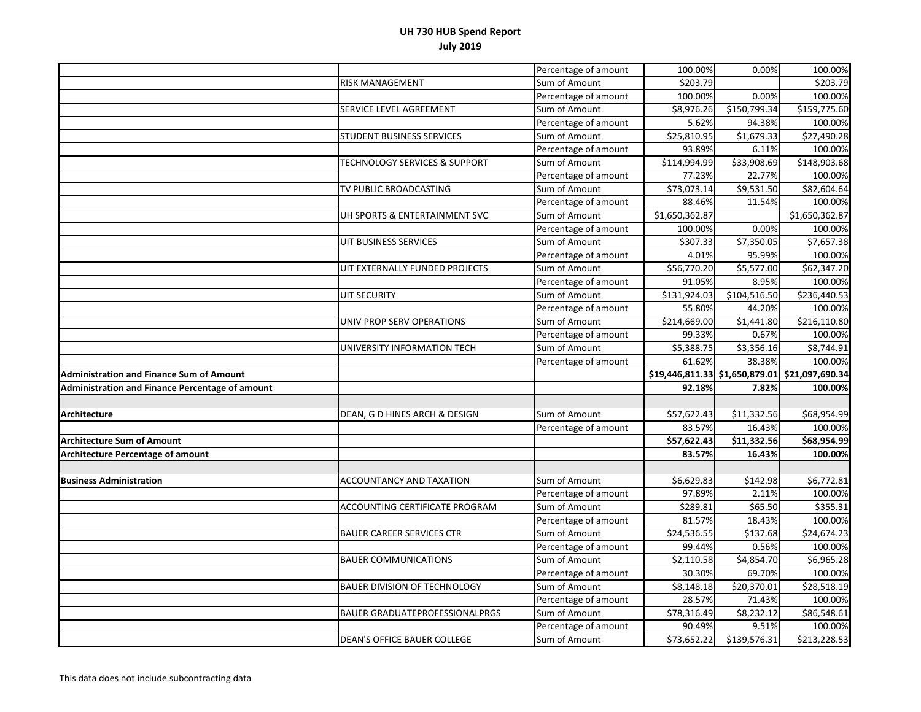|                                                        |                                          | Percentage of amount | 100.00%               | 0.00%                  | 100.00%                                        |
|--------------------------------------------------------|------------------------------------------|----------------------|-----------------------|------------------------|------------------------------------------------|
|                                                        | <b>RISK MANAGEMENT</b>                   | Sum of Amount        | \$203.79              |                        | \$203.79                                       |
|                                                        |                                          | Percentage of amount | 100.00%               | 0.00%                  | 100.00%                                        |
|                                                        | SERVICE LEVEL AGREEMENT                  | Sum of Amount        | \$8,976.26            | \$150,799.34           | \$159,775.60                                   |
|                                                        |                                          | Percentage of amount | 5.62%                 | 94.38%                 | 100.00%                                        |
|                                                        | <b>STUDENT BUSINESS SERVICES</b>         | Sum of Amount        | \$25,810.95           | \$1,679.33             | \$27,490.28                                    |
|                                                        |                                          | Percentage of amount | 93.89%                | 6.11%                  | 100.00%                                        |
|                                                        | <b>TECHNOLOGY SERVICES &amp; SUPPORT</b> | Sum of Amount        | \$114,994.99          | \$33,908.69            | \$148,903.68                                   |
|                                                        |                                          | Percentage of amount | 77.23%                | 22.77%                 | 100.00%                                        |
|                                                        | TV PUBLIC BROADCASTING                   | Sum of Amount        | \$73,073.14           | \$9,531.50             | \$82,604.64                                    |
|                                                        |                                          | Percentage of amount | 88.46%                | 11.54%                 | 100.00%                                        |
|                                                        | UH SPORTS & ENTERTAINMENT SVC            | Sum of Amount        | \$1,650,362.87        |                        | \$1,650,362.87                                 |
|                                                        |                                          | Percentage of amount | 100.00%               | 0.00%                  | 100.00%                                        |
|                                                        | UIT BUSINESS SERVICES                    | Sum of Amount        | \$307.33              | \$7,350.05             | \$7,657.38                                     |
|                                                        |                                          | Percentage of amount | 4.01%                 | 95.99%                 | 100.00%                                        |
|                                                        | UIT EXTERNALLY FUNDED PROJECTS           | Sum of Amount        | \$56,770.20           | \$5,577.00             | \$62,347.20                                    |
|                                                        |                                          | Percentage of amount | 91.05%                | 8.95%                  | 100.00%                                        |
|                                                        | <b>UIT SECURITY</b>                      | Sum of Amount        | \$131,924.03          | \$104,516.50           | \$236,440.53                                   |
|                                                        |                                          | Percentage of amount | 55.80%                | 44.20%                 | 100.00%                                        |
|                                                        | UNIV PROP SERV OPERATIONS                | Sum of Amount        | \$214,669.00          | $\overline{51,}441.80$ | $\overline{$}216,110.80$                       |
|                                                        |                                          | Percentage of amount | 99.33%                | 0.67%                  | 100.00%                                        |
|                                                        | UNIVERSITY INFORMATION TECH              | Sum of Amount        | \$5,388.75            | \$3,356.16             | \$8,744.91                                     |
|                                                        |                                          | Percentage of amount | 61.62%                | 38.38%                 | 100.00%                                        |
| <b>Administration and Finance Sum of Amount</b>        |                                          |                      |                       |                        | \$19,446,811.33 \$1,650,879.01 \$21,097,690.34 |
| <b>Administration and Finance Percentage of amount</b> |                                          |                      | 92.18%                | 7.82%                  | 100.00%                                        |
|                                                        |                                          |                      |                       |                        |                                                |
| <b>Architecture</b>                                    | DEAN, G D HINES ARCH & DESIGN            | Sum of Amount        | \$57,622.43           | \$11,332.56            | \$68,954.99                                    |
|                                                        |                                          | Percentage of amount | 83.57%                | 16.43%                 | 100.00%                                        |
| <b>Architecture Sum of Amount</b>                      |                                          |                      | \$57,622.43           | \$11,332.56            | \$68,954.99                                    |
| <b>Architecture Percentage of amount</b>               |                                          |                      | 83.57%                | 16.43%                 | 100.00%                                        |
|                                                        |                                          |                      |                       |                        |                                                |
| <b>Business Administration</b>                         | ACCOUNTANCY AND TAXATION                 | Sum of Amount        | \$6,629.83            | \$142.98               | \$6,772.81                                     |
|                                                        |                                          | Percentage of amount | 97.89%                | 2.11%                  | 100.00%                                        |
|                                                        | ACCOUNTING CERTIFICATE PROGRAM           | Sum of Amount        | \$289.81              | \$65.50                | \$355.31                                       |
|                                                        |                                          | Percentage of amount | 81.57%                | 18.43%                 | 100.00%                                        |
|                                                        | <b>BAUER CAREER SERVICES CTR</b>         | Sum of Amount        | \$24,536.55           | \$137.68               | \$24,674.23                                    |
|                                                        |                                          | Percentage of amount | 99.44%                | 0.56%                  | 100.00%                                        |
|                                                        | <b>BAUER COMMUNICATIONS</b>              | Sum of Amount        | \$2,110.58            | \$4,854.70             | \$6,965.28                                     |
|                                                        |                                          | Percentage of amount | 30.30%                | 69.70%                 | 100.00%                                        |
|                                                        | <b>BAUER DIVISION OF TECHNOLOGY</b>      | Sum of Amount        | \$8,148.18            | \$20,370.01            | \$28,518.19                                    |
|                                                        |                                          | Percentage of amount | 28.57%                | 71.43%                 | 100.00%                                        |
|                                                        | <b>BAUER GRADUATEPROFESSIONALPRGS</b>    | Sum of Amount        | \$78,316.49           | \$8,232.12             | \$86,548.61                                    |
|                                                        |                                          | Percentage of amount |                       |                        |                                                |
|                                                        |                                          |                      | 90.49%<br>\$73,652.22 | 9.51%<br>\$139,576.31  | 100.00%<br>\$213,228.53                        |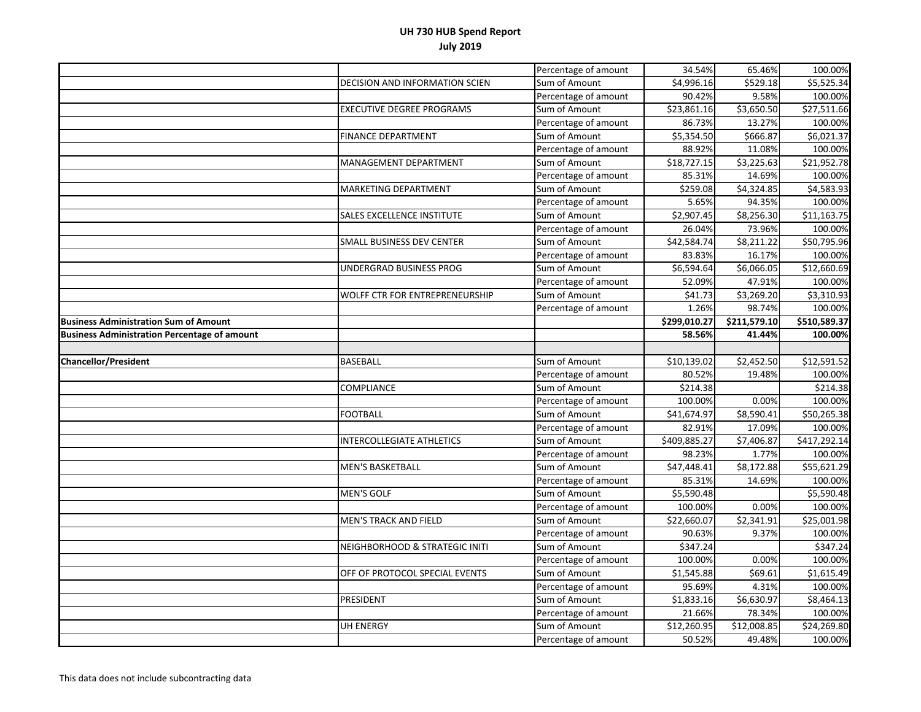|                                                     |                                   | Percentage of amount | 34.54%       | 65.46%                  | 100.00%      |
|-----------------------------------------------------|-----------------------------------|----------------------|--------------|-------------------------|--------------|
|                                                     | DECISION AND INFORMATION SCIEN    | Sum of Amount        | \$4,996.16   | \$529.18                | \$5,525.34   |
|                                                     |                                   | Percentage of amount | 90.42%       | 9.58%                   | 100.00%      |
|                                                     | <b>EXECUTIVE DEGREE PROGRAMS</b>  | Sum of Amount        | \$23,861.16  | $\overline{$}3,650.50$  | \$27,511.66  |
|                                                     |                                   | Percentage of amount | 86.73%       | 13.27%                  | 100.00%      |
|                                                     | <b>FINANCE DEPARTMENT</b>         | Sum of Amount        | \$5,354.50   | \$666.87                | \$6,021.37   |
|                                                     |                                   | Percentage of amount | 88.92%       | 11.08%                  | 100.00%      |
|                                                     | <b>MANAGEMENT DEPARTMENT</b>      | Sum of Amount        | \$18,727.15  | \$3,225.63              | \$21,952.78  |
|                                                     |                                   | Percentage of amount | 85.31%       | 14.69%                  | 100.00%      |
|                                                     | <b>MARKETING DEPARTMENT</b>       | Sum of Amount        | \$259.08     | \$4,324.85              | \$4,583.93   |
|                                                     |                                   | Percentage of amount | 5.65%        | 94.35%                  | 100.00%      |
|                                                     | <b>SALES EXCELLENCE INSTITUTE</b> | Sum of Amount        | \$2,907.45   | \$8,256.30              | \$11,163.75  |
|                                                     |                                   | Percentage of amount | 26.04%       | 73.96%                  | 100.00%      |
|                                                     | SMALL BUSINESS DEV CENTER         | Sum of Amount        | \$42,584.74  | \$8,211.22              | \$50,795.96  |
|                                                     |                                   | Percentage of amount | 83.83%       | 16.17%                  | 100.00%      |
|                                                     | UNDERGRAD BUSINESS PROG           | Sum of Amount        | \$6,594.64   | \$6,066.05              | \$12,660.69  |
|                                                     |                                   | Percentage of amount | 52.09%       | 47.91%                  | 100.00%      |
|                                                     | WOLFF CTR FOR ENTREPRENEURSHIP    | Sum of Amount        | \$41.73      | \$3,269.20              | \$3,310.93   |
|                                                     |                                   | Percentage of amount | 1.26%        | 98.74%                  | 100.00%      |
| <b>Business Administration Sum of Amount</b>        |                                   |                      | \$299,010.27 | \$211,579.10            | \$510,589.37 |
| <b>Business Administration Percentage of amount</b> |                                   |                      | 58.56%       | 41.44%                  | 100.00%      |
|                                                     |                                   |                      |              |                         |              |
|                                                     |                                   |                      |              |                         |              |
| <b>Chancellor/President</b>                         | <b>BASEBALL</b>                   | Sum of Amount        | \$10,139.02  | \$2,452.50              | \$12,591.52  |
|                                                     |                                   | Percentage of amount | 80.52%       | 19.48%                  | 100.00%      |
|                                                     | COMPLIANCE                        | Sum of Amount        | \$214.38     |                         | \$214.38     |
|                                                     |                                   | Percentage of amount | 100.00%      | 0.00%                   | 100.00%      |
|                                                     | <b>FOOTBALL</b>                   | Sum of Amount        | \$41,674.97  | \$8,590.41              | \$50,265.38  |
|                                                     |                                   | Percentage of amount | 82.91%       | 17.09%                  | 100.00%      |
|                                                     | <b>INTERCOLLEGIATE ATHLETICS</b>  | Sum of Amount        | \$409,885.27 | \$7,406.87              | \$417,292.14 |
|                                                     |                                   | Percentage of amount | 98.23%       | 1.77%                   | 100.00%      |
|                                                     | <b>MEN'S BASKETBALL</b>           | Sum of Amount        | \$47,448.41  | \$8,172.88              | \$55,621.29  |
|                                                     |                                   | Percentage of amount | 85.31%       | 14.69%                  | 100.00%      |
|                                                     | <b>MEN'S GOLF</b>                 | Sum of Amount        | \$5,590.48   |                         | \$5,590.48   |
|                                                     |                                   | Percentage of amount | 100.00%      | 0.00%                   | 100.00%      |
|                                                     | <b>MEN'S TRACK AND FIELD</b>      | Sum of Amount        | \$22,660.07  | \$2,341.91              | \$25,001.98  |
|                                                     |                                   | Percentage of amount | 90.63%       | 9.37%                   | 100.00%      |
|                                                     | NEIGHBORHOOD & STRATEGIC INITI    | Sum of Amount        | \$347.24     |                         | \$347.24     |
|                                                     |                                   | Percentage of amount | 100.00%      | 0.00%                   | 100.00%      |
|                                                     | OFF OF PROTOCOL SPECIAL EVENTS    | Sum of Amount        | \$1,545.88   | \$69.61                 | \$1,615.49   |
|                                                     |                                   | Percentage of amount | 95.69%       | 4.31%                   | 100.00%      |
|                                                     | PRESIDENT                         | Sum of Amount        | \$1,833.16   | \$6,630.97              | \$8,464.13   |
|                                                     |                                   | Percentage of amount | 21.66%       | 78.34%                  | 100.00%      |
|                                                     | <b>UH ENERGY</b>                  | Sum of Amount        | \$12,260.95  | $\overline{$}12,008.85$ | \$24,269.80  |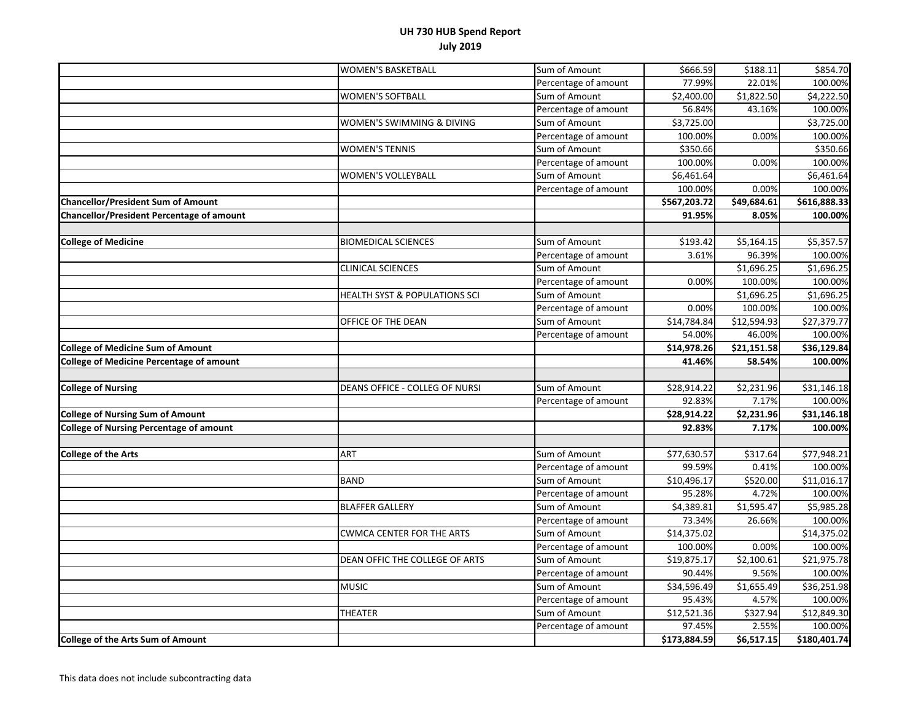|                                                 | <b>WOMEN'S BASKETBALL</b>                | Sum of Amount        | \$666.59               | \$188.11            | \$854.70                |
|-------------------------------------------------|------------------------------------------|----------------------|------------------------|---------------------|-------------------------|
|                                                 |                                          | Percentage of amount | 77.99%                 | 22.01%              | 100.00%                 |
|                                                 | <b>WOMEN'S SOFTBALL</b>                  | Sum of Amount        | \$2,400.00             | \$1,822.50          | \$4,222.50              |
|                                                 |                                          | Percentage of amount | 56.84%                 | 43.16%              | 100.00%                 |
|                                                 | WOMEN'S SWIMMING & DIVING                | Sum of Amount        | \$3,725.00             |                     | \$3,725.00              |
|                                                 |                                          | Percentage of amount | 100.00%                | 0.00%               | 100.00%                 |
|                                                 | <b>WOMEN'S TENNIS</b>                    | Sum of Amount        | \$350.66               |                     | \$350.66                |
|                                                 |                                          | Percentage of amount | 100.00%                | 0.00%               | 100.00%                 |
|                                                 | <b>WOMEN'S VOLLEYBALL</b>                | Sum of Amount        | \$6,461.64             |                     | \$6,461.64              |
|                                                 |                                          | Percentage of amount | 100.00%                | 0.00%               | 100.00%                 |
| <b>Chancellor/President Sum of Amount</b>       |                                          |                      | \$567,203.72           | \$49,684.61         | \$616,888.33            |
| Chancellor/President Percentage of amount       |                                          |                      | 91.95%                 | 8.05%               | 100.00%                 |
|                                                 |                                          |                      |                        |                     |                         |
| <b>College of Medicine</b>                      | <b>BIOMEDICAL SCIENCES</b>               | Sum of Amount        | \$193.42               | \$5,164.15          | \$5,357.57              |
|                                                 |                                          | Percentage of amount | 3.61%                  | 96.39%              | 100.00%                 |
|                                                 | <b>CLINICAL SCIENCES</b>                 | Sum of Amount        |                        | \$1,696.25          | \$1,696.25              |
|                                                 |                                          | Percentage of amount | 0.00%                  | 100.00%             | 100.00%                 |
|                                                 | <b>HEALTH SYST &amp; POPULATIONS SCI</b> | Sum of Amount        |                        | \$1,696.25          | \$1,696.25              |
|                                                 |                                          | Percentage of amount | 0.00%                  | 100.00%             | 100.00%                 |
|                                                 | OFFICE OF THE DEAN                       | Sum of Amount        | \$14,784.84            | \$12,594.93         | \$27,379.77             |
|                                                 |                                          | Percentage of amount | 54.00%                 | 46.00%              | 100.00%                 |
| <b>College of Medicine Sum of Amount</b>        |                                          |                      | \$14,978.26            | \$21,151.58         | \$36,129.84             |
| <b>College of Medicine Percentage of amount</b> |                                          |                      | 41.46%                 | 58.54%              | 100.00%                 |
|                                                 |                                          |                      |                        |                     |                         |
| <b>College of Nursing</b>                       | DEANS OFFICE - COLLEG OF NURSI           | Sum of Amount        | \$28,914.22            | \$2,231.96          | \$31,146.18             |
|                                                 |                                          | Percentage of amount | 92.83%                 | 7.17%               | 100.00%                 |
| <b>College of Nursing Sum of Amount</b>         |                                          |                      | \$28,914.22            | \$2,231.96          | \$31,146.18             |
| <b>College of Nursing Percentage of amount</b>  |                                          |                      | 92.83%                 | 7.17%               | 100.00%                 |
|                                                 |                                          |                      |                        |                     |                         |
| <b>College of the Arts</b>                      | <b>ART</b>                               | Sum of Amount        | \$77,630.57            | \$317.64            | \$77,948.21             |
|                                                 |                                          | Percentage of amount | 99.59%                 | 0.41%               | 100.00%                 |
|                                                 | <b>BAND</b>                              | Sum of Amount        | \$10,496.17            | \$520.00            | \$11,016.17             |
|                                                 |                                          | Percentage of amount | 95.28%                 | 4.72%               | 100.00%                 |
|                                                 | <b>BLAFFER GALLERY</b>                   | Sum of Amount        | \$4,389.81             | \$1,595.47          | \$5,985.28              |
|                                                 |                                          | Percentage of amount | 73.34%                 | 26.66%              | 100.00%                 |
|                                                 | <b>CWMCA CENTER FOR THE ARTS</b>         | Sum of Amount        | \$14,375.02            |                     | \$14,375.02             |
|                                                 |                                          | Percentage of amount | 100.00%                | 0.00%               | 100.00%                 |
|                                                 | DEAN OFFIC THE COLLEGE OF ARTS           | Sum of Amount        | \$19,875.17            | \$2,100.61          | \$21,975.78             |
|                                                 |                                          | Percentage of amount | 90.44%                 | 9.56%               | 100.00%                 |
|                                                 | <b>MUSIC</b>                             | Sum of Amount        | \$34,596.49            | \$1,655.49          | \$36,251.98             |
|                                                 |                                          | Percentage of amount |                        |                     | 100.00%                 |
|                                                 |                                          |                      | 95.43%                 | 4.57%               |                         |
|                                                 | THEATER                                  | Sum of Amount        | \$12,521.36            | \$327.94            | \$12,849.30             |
|                                                 |                                          |                      |                        |                     |                         |
| <b>College of the Arts Sum of Amount</b>        |                                          | Percentage of amount | 97.45%<br>\$173,884.59 | 2.55%<br>\$6,517.15 | 100.00%<br>\$180,401.74 |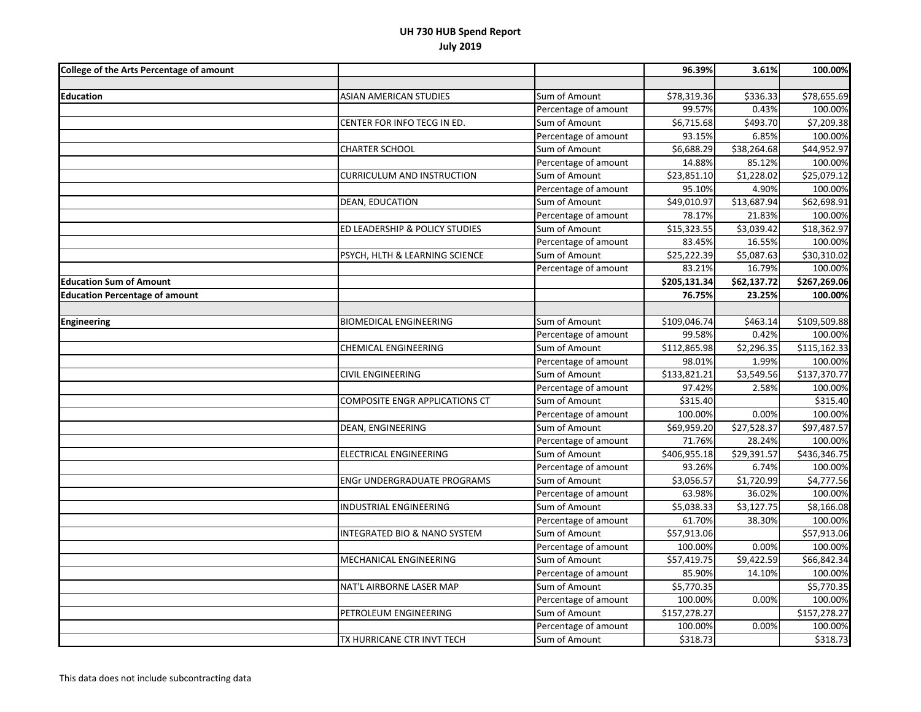| <b>College of the Arts Percentage of amount</b> |                                |                      | 96.39%                   | 3.61%       | 100.00%      |
|-------------------------------------------------|--------------------------------|----------------------|--------------------------|-------------|--------------|
|                                                 |                                |                      |                          |             |              |
| <b>Education</b>                                | ASIAN AMERICAN STUDIES         | Sum of Amount        | \$78,319.36              | \$336.33    | \$78,655.69  |
|                                                 |                                | Percentage of amount | 99.57%                   | 0.43%       | 100.00%      |
|                                                 | CENTER FOR INFO TECG IN ED.    | Sum of Amount        | \$6,715.68               | \$493.70    | \$7,209.38   |
|                                                 |                                | Percentage of amount | 93.15%                   | 6.85%       | 100.00%      |
|                                                 | <b>CHARTER SCHOOL</b>          | Sum of Amount        | \$6,688.29               | \$38,264.68 | \$44,952.97  |
|                                                 |                                | Percentage of amount | 14.88%                   | 85.12%      | 100.00%      |
|                                                 | CURRICULUM AND INSTRUCTION     | Sum of Amount        | \$23,851.10              | \$1,228.02  | \$25,079.12  |
|                                                 |                                | Percentage of amount | 95.10%                   | 4.90%       | 100.00%      |
|                                                 | DEAN, EDUCATION                | Sum of Amount        | \$49,010.97              | \$13,687.94 | \$62,698.91  |
|                                                 |                                | Percentage of amount | 78.17%                   | 21.83%      | 100.00%      |
|                                                 | ED LEADERSHIP & POLICY STUDIES | Sum of Amount        | $\overline{$}15,323.55$  | \$3,039.42  | \$18,362.97  |
|                                                 |                                | Percentage of amount | 83.45%                   | 16.55%      | 100.00%      |
|                                                 | PSYCH, HLTH & LEARNING SCIENCE | Sum of Amount        | \$25,222.39              | \$5,087.63  | \$30,310.02  |
|                                                 |                                | Percentage of amount | 83.21%                   | 16.79%      | 100.00%      |
| <b>Education Sum of Amount</b>                  |                                |                      | \$205,131.34             | \$62,137.72 | \$267,269.06 |
| <b>Education Percentage of amount</b>           |                                |                      | 76.75%                   | 23.25%      | 100.00%      |
|                                                 |                                |                      |                          |             |              |
| <b>Engineering</b>                              | <b>BIOMEDICAL ENGINEERING</b>  | Sum of Amount        | \$109,046.74             | \$463.14    | \$109,509.88 |
|                                                 |                                | Percentage of amount | 99.58%                   | 0.42%       | 100.00%      |
|                                                 | <b>CHEMICAL ENGINEERING</b>    | Sum of Amount        | $\overline{$}112,865.98$ | \$2,296.35  | \$115,162.33 |
|                                                 |                                | Percentage of amount | 98.01%                   | 1.99%       | 100.00%      |
|                                                 | <b>CIVIL ENGINEERING</b>       | Sum of Amount        | \$133,821.21             | \$3,549.56  | \$137,370.77 |
|                                                 |                                | Percentage of amount | 97.42%                   | 2.58%       | 100.00%      |
|                                                 | COMPOSITE ENGR APPLICATIONS CT | Sum of Amount        | \$315.40                 |             | \$315.40     |
|                                                 |                                | Percentage of amount | 100.00%                  | 0.00%       | 100.00%      |
|                                                 | DEAN, ENGINEERING              | Sum of Amount        | \$69,959.20              | \$27,528.37 | \$97,487.57  |
|                                                 |                                | Percentage of amount | 71.76%                   | 28.24%      | 100.00%      |
|                                                 | ELECTRICAL ENGINEERING         | Sum of Amount        | \$406,955.18             | \$29,391.57 | \$436,346.75 |
|                                                 |                                | Percentage of amount | 93.26%                   | 6.74%       | 100.00%      |
|                                                 | ENGr UNDERGRADUATE PROGRAMS    | Sum of Amount        | \$3,056.57               | \$1,720.99  | \$4,777.56   |
|                                                 |                                | Percentage of amount | 63.98%                   | 36.02%      | 100.00%      |
|                                                 | INDUSTRIAL ENGINEERING         | Sum of Amount        | \$5,038.33               | \$3,127.75  | \$8,166.08   |
|                                                 |                                | Percentage of amount | 61.70%                   | 38.30%      | 100.00%      |
|                                                 | INTEGRATED BIO & NANO SYSTEM   | Sum of Amount        | \$57,913.06              |             | \$57,913.06  |
|                                                 |                                | Percentage of amount | 100.00%                  | 0.00%       | 100.00%      |
|                                                 | MECHANICAL ENGINEERING         | Sum of Amount        | 557,419.75               | \$9,422.59  | \$66,842.34  |
|                                                 |                                | Percentage of amount | 85.90%                   | 14.10%      | 100.00%      |
|                                                 | NAT'L AIRBORNE LASER MAP       | Sum of Amount        | \$5,770.35               |             | \$5,770.35   |
|                                                 |                                | Percentage of amount | 100.00%                  | 0.00%       | 100.00%      |
|                                                 | PETROLEUM ENGINEERING          | Sum of Amount        | \$157,278.27             |             | \$157,278.27 |
|                                                 |                                | Percentage of amount | 100.00%                  | 0.00%       | 100.00%      |
|                                                 | TX HURRICANE CTR INVT TECH     | Sum of Amount        | \$318.73                 |             | \$318.73     |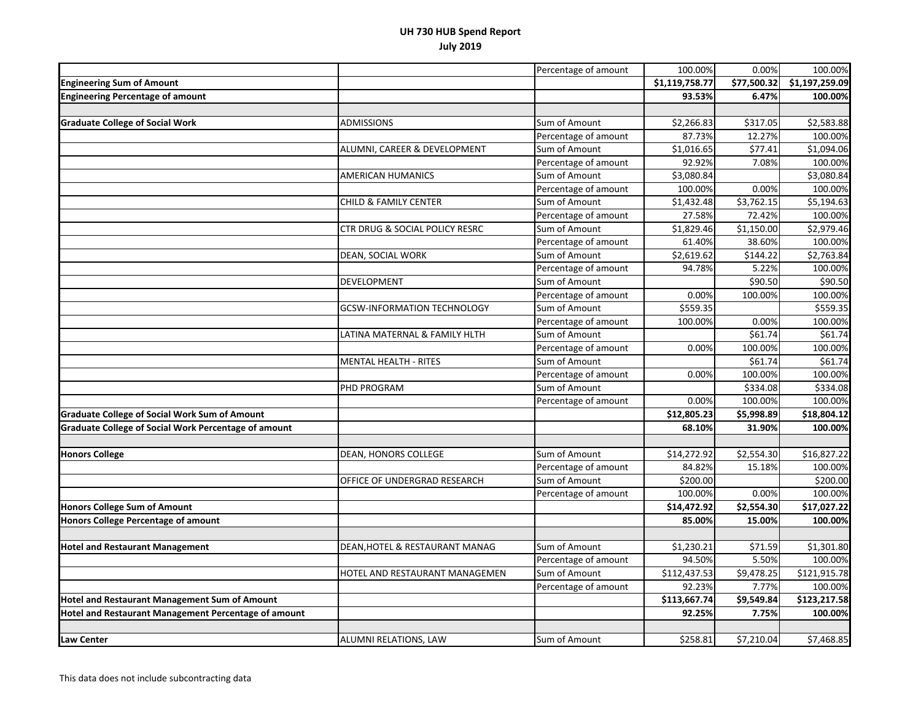|                                                             |                                    | Percentage of amount | 100.00%        | 0.00%       | 100.00%        |
|-------------------------------------------------------------|------------------------------------|----------------------|----------------|-------------|----------------|
| <b>Engineering Sum of Amount</b>                            |                                    |                      | \$1,119,758.77 | \$77,500.32 | \$1,197,259.09 |
| <b>Engineering Percentage of amount</b>                     |                                    |                      | 93.53%         | 6.47%       | 100.00%        |
|                                                             |                                    |                      |                |             |                |
| <b>Graduate College of Social Work</b>                      | <b>ADMISSIONS</b>                  | Sum of Amount        | \$2,266.83     | \$317.05    | \$2,583.88     |
|                                                             |                                    | Percentage of amount | 87.73%         | 12.27%      | 100.00%        |
|                                                             | ALUMNI, CAREER & DEVELOPMENT       | Sum of Amount        | \$1,016.65     | \$77.41     | \$1,094.06     |
|                                                             |                                    | Percentage of amount | 92.92%         | 7.08%       | 100.00%        |
|                                                             | <b>AMERICAN HUMANICS</b>           | Sum of Amount        | \$3,080.84     |             | \$3,080.84     |
|                                                             |                                    | Percentage of amount | 100.00%        | 0.00%       | 100.00%        |
|                                                             | <b>CHILD &amp; FAMILY CENTER</b>   | Sum of Amount        | \$1,432.48     | \$3,762.15  | \$5,194.63     |
|                                                             |                                    | Percentage of amount | 27.58%         | 72.42%      | 100.00%        |
|                                                             | CTR DRUG & SOCIAL POLICY RESRC     | Sum of Amount        | \$1,829.46     | \$1,150.00  | \$2,979.46     |
|                                                             |                                    | Percentage of amount | 61.40%         | 38.60%      | 100.00%        |
|                                                             | DEAN, SOCIAL WORK                  | Sum of Amount        | \$2,619.62     | \$144.22    | \$2,763.84     |
|                                                             |                                    | Percentage of amount | 94.78%         | 5.22%       | 100.00%        |
|                                                             | DEVELOPMENT                        | Sum of Amount        |                | \$90.50     | \$90.50        |
|                                                             |                                    | Percentage of amount | 0.00%          | 100.00%     | 100.00%        |
|                                                             | <b>GCSW-INFORMATION TECHNOLOGY</b> | Sum of Amount        | \$559.35       |             | \$559.35       |
|                                                             |                                    | Percentage of amount | 100.00%        | 0.00%       | 100.00%        |
|                                                             | LATINA MATERNAL & FAMILY HLTH      | Sum of Amount        |                | \$61.74     | \$61.74        |
|                                                             |                                    | Percentage of amount | 0.00%          | 100.00%     | 100.00%        |
|                                                             | <b>MENTAL HEALTH - RITES</b>       | Sum of Amount        |                | \$61.74     | \$61.74        |
|                                                             |                                    | Percentage of amount | 0.00%          | 100.00%     | 100.00%        |
|                                                             | PHD PROGRAM                        | Sum of Amount        |                | \$334.08    | \$334.08       |
|                                                             |                                    | Percentage of amount | 0.00%          | 100.00%     | 100.00%        |
| <b>Graduate College of Social Work Sum of Amount</b>        |                                    |                      | \$12,805.23    | \$5,998.89  | \$18,804.12    |
| <b>Graduate College of Social Work Percentage of amount</b> |                                    |                      | 68.10%         | 31.90%      | 100.00%        |
|                                                             |                                    |                      |                |             |                |
| <b>Honors College</b>                                       | DEAN, HONORS COLLEGE               | Sum of Amount        | \$14,272.92    | \$2,554.30  | \$16,827.22    |
|                                                             |                                    | Percentage of amount | 84.82%         | 15.18%      | 100.00%        |
|                                                             | OFFICE OF UNDERGRAD RESEARCH       | Sum of Amount        | \$200.00       |             | \$200.00       |
|                                                             |                                    | Percentage of amount | 100.00%        | 0.00%       | 100.00%        |
| <b>Honors College Sum of Amount</b>                         |                                    |                      | \$14,472.92    | \$2,554.30  | \$17,027.22    |
| <b>Honors College Percentage of amount</b>                  |                                    |                      | 85.00%         | 15.00%      | 100.00%        |
|                                                             |                                    |                      |                |             |                |
| <b>Hotel and Restaurant Management</b>                      | DEAN, HOTEL & RESTAURANT MANAG     | Sum of Amount        | \$1,230.21     | \$71.59     | \$1,301.80     |
|                                                             |                                    | Percentage of amount | 94.50%         | 5.50%       | 100.00%        |
|                                                             | HOTEL AND RESTAURANT MANAGEMEN     | Sum of Amount        | \$112,437.53   | \$9,478.25  | \$121,915.78   |
|                                                             |                                    | Percentage of amount | 92.23%         | 7.77%       | 100.00%        |
| <b>Hotel and Restaurant Management Sum of Amount</b>        |                                    |                      | \$113,667.74   | \$9,549.84  | \$123,217.58   |
| Hotel and Restaurant Management Percentage of amount        |                                    |                      | 92.25%         | 7.75%       | 100.00%        |
|                                                             |                                    |                      |                |             |                |
| <b>Law Center</b>                                           | ALUMNI RELATIONS, LAW              | Sum of Amount        | \$258.81       | \$7,210.04  | \$7,468.85     |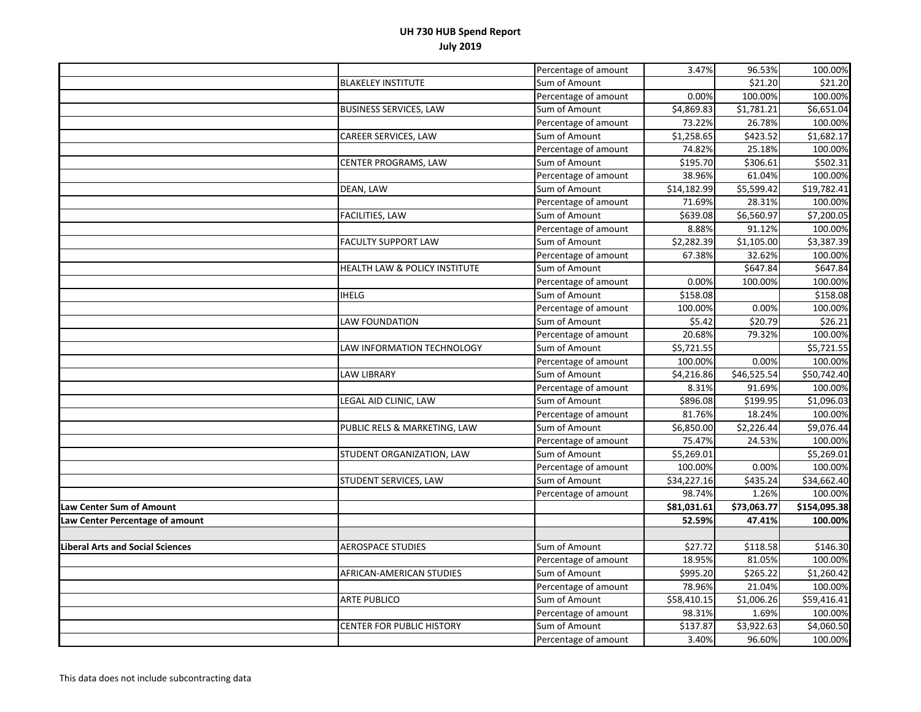|                                         |                                  | Percentage of amount | 3.47%                   | 96.53%      | 100.00%      |
|-----------------------------------------|----------------------------------|----------------------|-------------------------|-------------|--------------|
|                                         | <b>BLAKELEY INSTITUTE</b>        | Sum of Amount        |                         | \$21.20     | \$21.20      |
|                                         |                                  | Percentage of amount | 0.00%                   | 100.00%     | 100.00%      |
|                                         | <b>BUSINESS SERVICES, LAW</b>    | Sum of Amount        | $\overline{54,869.83}$  | \$1,781.21  | \$6,651.04   |
|                                         |                                  | Percentage of amount | 73.22%                  | 26.78%      | 100.00%      |
|                                         | CAREER SERVICES, LAW             | Sum of Amount        | \$1,258.65              | \$423.52    | \$1,682.17   |
|                                         |                                  | Percentage of amount | 74.82%                  | 25.18%      | 100.00%      |
|                                         | CENTER PROGRAMS, LAW             | Sum of Amount        | \$195.70                | \$306.61    | \$502.31     |
|                                         |                                  | Percentage of amount | 38.96%                  | 61.04%      | 100.00%      |
|                                         | DEAN, LAW                        | Sum of Amount        | $\overline{$}14,182.99$ | \$5,599.42  | \$19,782.41  |
|                                         |                                  | Percentage of amount | 71.69%                  | 28.31%      | 100.00%      |
|                                         | <b>FACILITIES, LAW</b>           | Sum of Amount        | \$639.08                | \$6,560.97  | \$7,200.05   |
|                                         |                                  | Percentage of amount | 8.88%                   | 91.12%      | 100.00%      |
|                                         | <b>FACULTY SUPPORT LAW</b>       | Sum of Amount        | \$2,282.39              | \$1,105.00  | \$3,387.39   |
|                                         |                                  | Percentage of amount | 67.38%                  | 32.62%      | 100.00%      |
|                                         | HEALTH LAW & POLICY INSTITUTE    | Sum of Amount        |                         | \$647.84    | \$647.84     |
|                                         |                                  | Percentage of amount | 0.00%                   | 100.00%     | 100.00%      |
|                                         | <b>IHELG</b>                     | Sum of Amount        | \$158.08                |             | \$158.08     |
|                                         |                                  | Percentage of amount | 100.00%                 | 0.00%       | 100.00%      |
|                                         | <b>LAW FOUNDATION</b>            | Sum of Amount        | \$5.42                  | \$20.79     | \$26.21      |
|                                         |                                  | Percentage of amount | 20.68%                  | 79.32%      | 100.00%      |
|                                         | LAW INFORMATION TECHNOLOGY       | Sum of Amount        | \$5,721.55              |             | \$5,721.55   |
|                                         |                                  | Percentage of amount | 100.00%                 | 0.00%       | 100.00%      |
|                                         | <b>LAW LIBRARY</b>               | Sum of Amount        | \$4,216.86              | \$46,525.54 | \$50,742.40  |
|                                         |                                  | Percentage of amount | 8.31%                   | 91.69%      | 100.00%      |
|                                         | LEGAL AID CLINIC, LAW            | Sum of Amount        | \$896.08                | \$199.95    | \$1,096.03   |
|                                         |                                  | Percentage of amount | 81.76%                  | 18.24%      | 100.00%      |
|                                         | PUBLIC RELS & MARKETING, LAW     | Sum of Amount        | \$6,850.00              | \$2,226.44  | \$9,076.44   |
|                                         |                                  | Percentage of amount | 75.47%                  | 24.53%      | 100.00%      |
|                                         | STUDENT ORGANIZATION, LAW        | Sum of Amount        | \$5,269.01              |             | \$5,269.01   |
|                                         |                                  | Percentage of amount | 100.00%                 | 0.00%       | 100.00%      |
|                                         | STUDENT SERVICES, LAW            | Sum of Amount        | \$34,227.16             | \$435.24    | \$34,662.40  |
|                                         |                                  | Percentage of amount | 98.74%                  | 1.26%       | 100.00%      |
| Law Center Sum of Amount                |                                  |                      | \$81,031.61             | \$73,063.77 | \$154,095.38 |
| Law Center Percentage of amount         |                                  |                      | 52.59%                  | 47.41%      | 100.00%      |
|                                         |                                  |                      |                         |             |              |
| <b>Liberal Arts and Social Sciences</b> | <b>AEROSPACE STUDIES</b>         | Sum of Amount        | \$27.72                 | \$118.58    | \$146.30     |
|                                         |                                  | Percentage of amount | 18.95%                  | 81.05%      | 100.00%      |
|                                         | AFRICAN-AMERICAN STUDIES         | Sum of Amount        | \$995.20                | \$265.22    | \$1,260.42   |
|                                         |                                  | Percentage of amount | 78.96%                  | 21.04%      | 100.00%      |
|                                         | <b>ARTE PUBLICO</b>              | Sum of Amount        | \$58,410.15             | \$1,006.26  | \$59,416.41  |
|                                         |                                  | Percentage of amount | 98.31%                  | 1.69%       | 100.00%      |
|                                         | <b>CENTER FOR PUBLIC HISTORY</b> | Sum of Amount        | \$137.87                | \$3,922.63  | \$4,060.50   |
|                                         |                                  | Percentage of amount | 3.40%                   | 96.60%      | 100.00%      |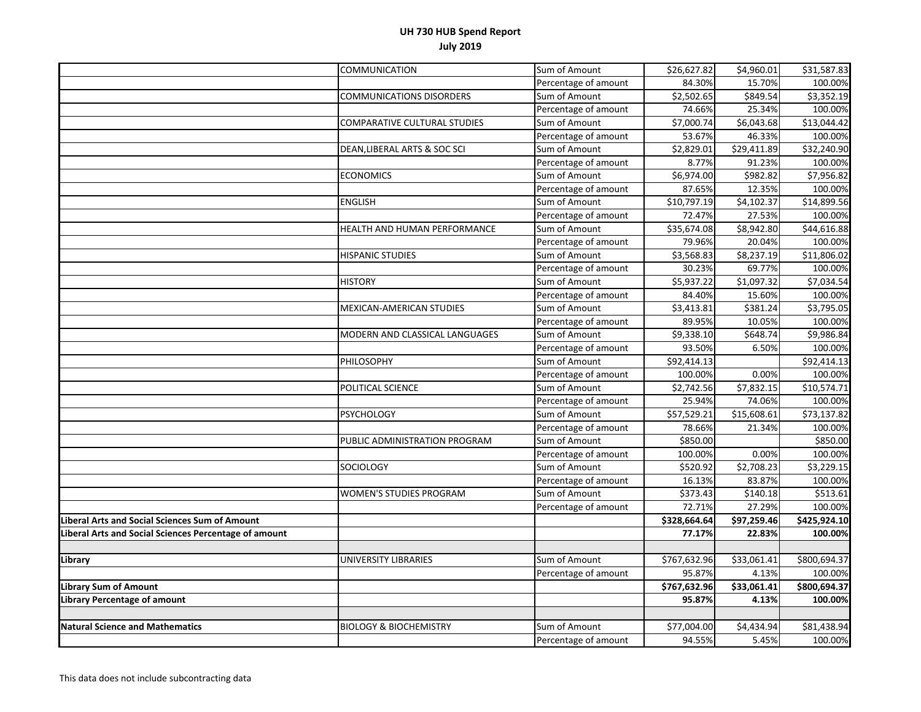|                                                       | COMMUNICATION                     | Sum of Amount        | \$26,627.82             | \$4,960.01              | \$31,587.83             |
|-------------------------------------------------------|-----------------------------------|----------------------|-------------------------|-------------------------|-------------------------|
|                                                       |                                   | Percentage of amount | 84.30%                  | 15.70%                  | 100.00%                 |
|                                                       | <b>COMMUNICATIONS DISORDERS</b>   | Sum of Amount        | $\overline{$}2,502.65$  | \$849.54                | \$3,352.19              |
|                                                       |                                   | Percentage of amount | 74.66%                  | 25.34%                  | 100.00%                 |
|                                                       | COMPARATIVE CULTURAL STUDIES      | Sum of Amount        | \$7,000.74              | \$6,043.68              | \$13,044.42             |
|                                                       |                                   | Percentage of amount | 53.67%                  | 46.33%                  | 100.00%                 |
|                                                       | DEAN, LIBERAL ARTS & SOC SCI      | Sum of Amount        | \$2,829.01              | \$29,411.89             | \$32,240.90             |
|                                                       |                                   | Percentage of amount | 8.77%                   | 91.23%                  | 100.00%                 |
|                                                       | <b>ECONOMICS</b>                  | Sum of Amount        | 56,974.00               | \$982.82                | \$7,956.82              |
|                                                       |                                   | Percentage of amount | 87.65%                  | 12.35%                  | 100.00%                 |
|                                                       | <b>ENGLISH</b>                    | Sum of Amount        | \$10,797.19             | \$4,102.37              | \$14,899.56             |
|                                                       |                                   | Percentage of amount | 72.47%                  | 27.53%                  | 100.00%                 |
|                                                       | HEALTH AND HUMAN PERFORMANCE      | Sum of Amount        | \$35,674.08             | \$8,942.80              | \$44,616.88             |
|                                                       |                                   | Percentage of amount | 79.96%                  | 20.04%                  | 100.00%                 |
|                                                       | <b>HISPANIC STUDIES</b>           | Sum of Amount        | \$3,568.83              | \$8,237.19              | \$11,806.02             |
|                                                       |                                   | Percentage of amount | 30.23%                  | 69.77%                  | 100.00%                 |
|                                                       | <b>HISTORY</b>                    | Sum of Amount        | \$5,937.22              | $\overline{$}3,097.32$  | \$7,034.54              |
|                                                       |                                   | Percentage of amount | 84.40%                  | 15.60%                  | 100.00%                 |
|                                                       | MEXICAN-AMERICAN STUDIES          | Sum of Amount        | \$3,413.81              | \$381.24                | \$3,795.05              |
|                                                       |                                   | Percentage of amount | 89.95%                  | 10.05%                  | 100.00%                 |
|                                                       | MODERN AND CLASSICAL LANGUAGES    | Sum of Amount        | \$9,338.10              | \$648.74                | \$9,986.84              |
|                                                       |                                   | Percentage of amount | 93.50%                  | 6.50%                   | 100.00%                 |
|                                                       | PHILOSOPHY                        | Sum of Amount        | $\overline{$}92,414.13$ |                         | \$92,414.13             |
|                                                       |                                   | Percentage of amount | 100.00%                 | 0.00%                   | 100.00%                 |
|                                                       | POLITICAL SCIENCE                 | Sum of Amount        | \$2,742.56              | \$7,832.15              | \$10,574.71             |
|                                                       |                                   | Percentage of amount | 25.94%                  | 74.06%                  | 100.00%                 |
|                                                       | <b>PSYCHOLOGY</b>                 | Sum of Amount        | \$57,529.21             | \$15,608.61             | $\overline{$}73,137.82$ |
|                                                       |                                   | Percentage of amount | 78.66%                  | 21.34%                  | 100.00%                 |
|                                                       | PUBLIC ADMINISTRATION PROGRAM     | Sum of Amount        | \$850.00                |                         | \$850.00                |
|                                                       |                                   | Percentage of amount | 100.00%                 | 0.00%                   | 100.00%                 |
|                                                       | <b>SOCIOLOGY</b>                  | Sum of Amount        | \$520.92                | \$2,708.23              | \$3,229.15              |
|                                                       |                                   | Percentage of amount | 16.13%                  | 83.87%                  | 100.00%                 |
|                                                       | <b>WOMEN'S STUDIES PROGRAM</b>    | Sum of Amount        | \$373.43                | \$140.18                | \$513.61                |
|                                                       |                                   | Percentage of amount | 72.71%                  | 27.29%                  | 100.00%                 |
| <b>Liberal Arts and Social Sciences Sum of Amount</b> |                                   |                      | \$328,664.64            | $\overline{$97,259.46}$ | \$425,924.10            |
| liberal Arts and Social Sciences Percentage of amount |                                   |                      | 77.17%                  | 22.83%                  | 100.00%                 |
|                                                       |                                   |                      |                         |                         |                         |
| Library                                               | UNIVERSITY LIBRARIES              | Sum of Amount        | \$767,632.96            | \$33,061.41             | \$800,694.37            |
|                                                       |                                   | Percentage of amount | 95.87%                  | 4.13%                   | 100.00%                 |
| Library Sum of Amount                                 |                                   |                      | \$767,632.96            | \$33,061.41             | \$800,694.37            |
| Library Percentage of amount                          |                                   |                      | 95.87%                  | 4.13%                   | 100.00%                 |
|                                                       |                                   |                      |                         |                         |                         |
| <b>Natural Science and Mathematics</b>                | <b>BIOLOGY &amp; BIOCHEMISTRY</b> | Sum of Amount        | \$77,004.00             | \$4,434.94              | \$81,438.94             |
|                                                       |                                   | Percentage of amount | 94.55%                  | 5.45%                   | 100.00%                 |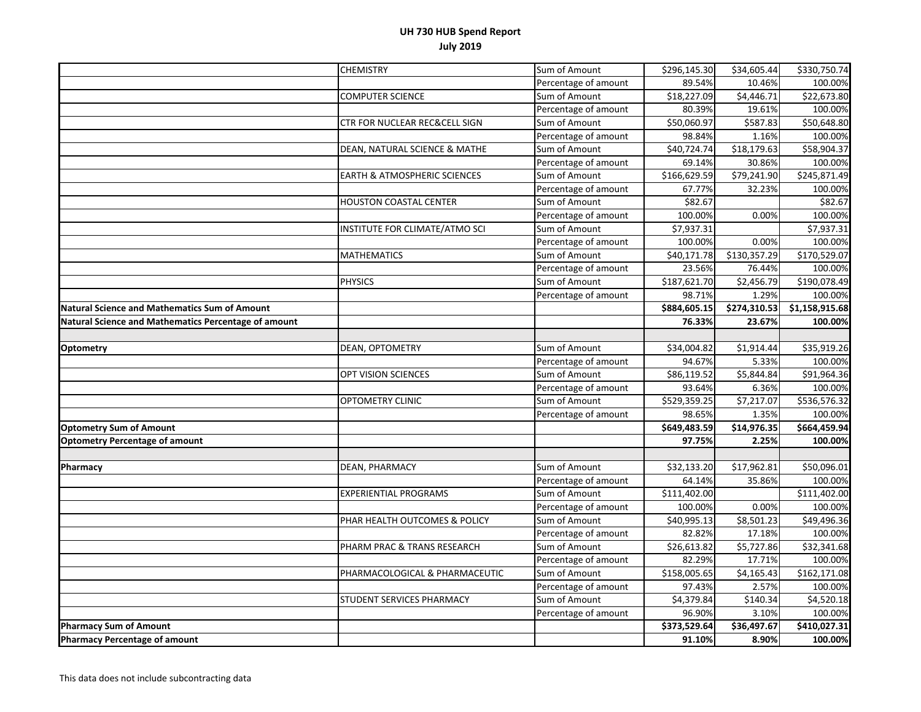|                                                      | <b>CHEMISTRY</b>                        | Sum of Amount        | \$296,145.30 | \$34,605.44            | \$330,750.74             |
|------------------------------------------------------|-----------------------------------------|----------------------|--------------|------------------------|--------------------------|
|                                                      |                                         | Percentage of amount | 89.54%       | 10.46%                 | 100.00%                  |
|                                                      | <b>COMPUTER SCIENCE</b>                 | Sum of Amount        | \$18,227.09  | \$4,446.71             | \$22,673.80              |
|                                                      |                                         | Percentage of amount | 80.39%       | 19.61%                 | 100.00%                  |
|                                                      | CTR FOR NUCLEAR REC&CELL SIGN           | Sum of Amount        | \$50,060.97  | \$587.83               | \$50,648.80              |
|                                                      |                                         | Percentage of amount | 98.84%       | 1.16%                  | 100.00%                  |
|                                                      | DEAN, NATURAL SCIENCE & MATHE           | Sum of Amount        | \$40,724.74  | 518, 179.63            | \$58,904.37              |
|                                                      |                                         | Percentage of amount | 69.14%       | 30.86%                 | 100.00%                  |
|                                                      | <b>EARTH &amp; ATMOSPHERIC SCIENCES</b> | Sum of Amount        | \$166,629.59 | \$79,241.90            | \$245,871.49             |
|                                                      |                                         | Percentage of amount | 67.77%       | 32.23%                 | 100.00%                  |
|                                                      | <b>HOUSTON COASTAL CENTER</b>           | Sum of Amount        | \$82.67      |                        | \$82.67                  |
|                                                      |                                         | Percentage of amount | 100.00%      | 0.00%                  | 100.00%                  |
|                                                      | INSTITUTE FOR CLIMATE/ATMO SCI          | Sum of Amount        | \$7,937.31   |                        | \$7,937.31               |
|                                                      |                                         | Percentage of amount | 100.00%      | 0.00%                  | 100.00%                  |
|                                                      | <b>MATHEMATICS</b>                      | Sum of Amount        | \$40,171.78  | \$130,357.29           | \$170,529.07             |
|                                                      |                                         | Percentage of amount | 23.56%       | 76.44%                 | 100.00%                  |
|                                                      | <b>PHYSICS</b>                          | Sum of Amount        | \$187,621.70 | $\overline{$}2,456.79$ | $\overline{$}190,078.49$ |
|                                                      |                                         | Percentage of amount | 98.71%       | 1.29%                  | 100.00%                  |
| <b>Natural Science and Mathematics Sum of Amount</b> |                                         |                      | \$884,605.15 | \$274,310.53           | \$1,158,915.68           |
| Natural Science and Mathematics Percentage of amount |                                         |                      | 76.33%       | 23.67%                 | 100.00%                  |
|                                                      |                                         |                      |              |                        |                          |
| <b>Optometry</b>                                     | DEAN, OPTOMETRY                         | Sum of Amount        | \$34,004.82  | \$1,914.44             | \$35,919.26              |
|                                                      |                                         | Percentage of amount | 94.67%       | 5.33%                  | 100.00%                  |
|                                                      | OPT VISION SCIENCES                     | Sum of Amount        | \$86,119.52  | \$5,844.84             | \$91,964.36              |
|                                                      |                                         | Percentage of amount | 93.64%       | 6.36%                  | 100.00%                  |
|                                                      | <b>OPTOMETRY CLINIC</b>                 | Sum of Amount        | \$529,359.25 | $\sqrt{57,217.07}$     | \$536,576.32             |
|                                                      |                                         | Percentage of amount | 98.65%       | 1.35%                  | 100.00%                  |
| <b>Optometry Sum of Amount</b>                       |                                         |                      | \$649,483.59 | \$14,976.35            | \$664,459.94             |
| <b>Optometry Percentage of amount</b>                |                                         |                      | 97.75%       | 2.25%                  | 100.00%                  |
|                                                      |                                         |                      |              |                        |                          |
| Pharmacy                                             | DEAN, PHARMACY                          | Sum of Amount        | \$32,133.20  | \$17,962.81            | \$50,096.01              |
|                                                      |                                         | Percentage of amount | 64.14%       | 35.86%                 | 100.00%                  |
|                                                      | <b>EXPERIENTIAL PROGRAMS</b>            | Sum of Amount        | \$111,402.00 |                        | $\overline{$}111,402.00$ |
|                                                      |                                         | Percentage of amount | 100.00%      | 0.00%                  | 100.00%                  |
|                                                      | PHAR HEALTH OUTCOMES & POLICY           | Sum of Amount        | \$40,995.13  | \$8,501.23             | \$49,496.36              |
|                                                      |                                         | Percentage of amount | 82.82%       | 17.18%                 | 100.00%                  |
|                                                      | PHARM PRAC & TRANS RESEARCH             | Sum of Amount        | \$26,613.82  | \$5,727.86             | \$32,341.68              |
|                                                      |                                         | Percentage of amount | 82.29%       | 17.71%                 | 100.00%                  |
|                                                      | PHARMACOLOGICAL & PHARMACEUTIC          | Sum of Amount        | \$158,005.65 | \$4,165.43             | \$162,171.08             |
|                                                      |                                         | Percentage of amount | 97.43%       | 2.57%                  | 100.00%                  |
|                                                      | STUDENT SERVICES PHARMACY               | Sum of Amount        | \$4,379.84   | \$140.34               | \$4,520.18               |
|                                                      |                                         | Percentage of amount | 96.90%       | 3.10%                  | 100.00%                  |
| <b>Pharmacy Sum of Amount</b>                        |                                         |                      | \$373,529.64 | \$36,497.67            | \$410,027.31             |
| <b>Pharmacy Percentage of amount</b>                 |                                         |                      | 91.10%       | 8.90%                  | 100.00%                  |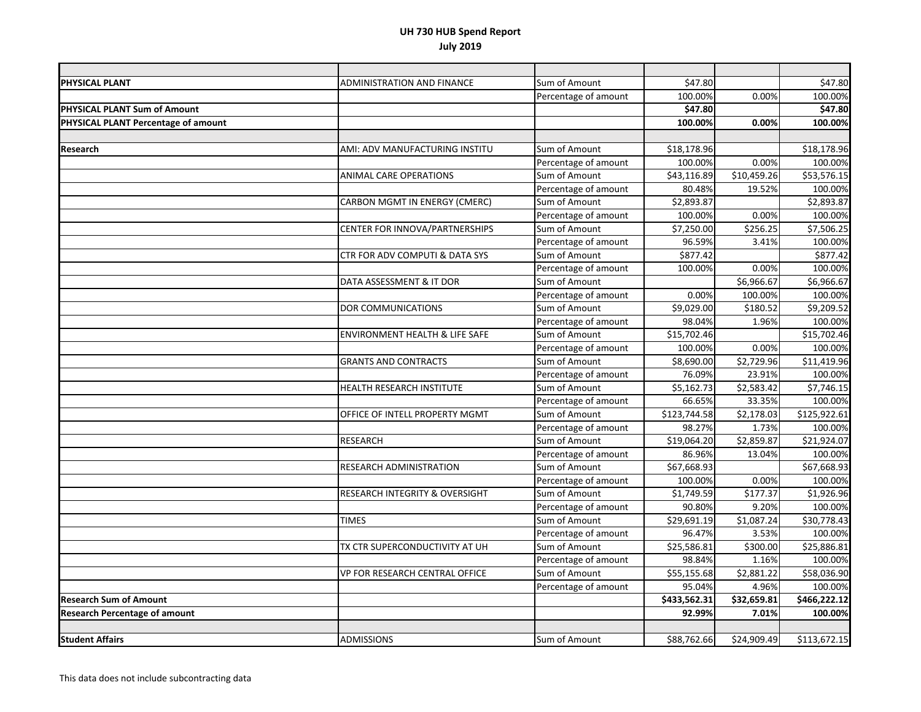| PHYSICAL PLANT                       | ADMINISTRATION AND FINANCE                | Sum of Amount        | \$47.80      |             | \$47.80                  |
|--------------------------------------|-------------------------------------------|----------------------|--------------|-------------|--------------------------|
|                                      |                                           | Percentage of amount | 100.00%      | 0.00%       | 100.00%                  |
| PHYSICAL PLANT Sum of Amount         |                                           |                      | \$47.80      |             | \$47.80                  |
| PHYSICAL PLANT Percentage of amount  |                                           |                      | 100.00%      | 0.00%       | 100.00%                  |
|                                      |                                           |                      |              |             |                          |
| Research                             | AMI: ADV MANUFACTURING INSTITU            | Sum of Amount        | \$18,178.96  |             | \$18,178.96              |
|                                      |                                           | Percentage of amount | 100.00%      | 0.00%       | 100.00%                  |
|                                      | <b>ANIMAL CARE OPERATIONS</b>             | Sum of Amount        | 543,116.89   | 510,459.26  | \$53,576.15              |
|                                      |                                           | Percentage of amount | 80.48%       | 19.52%      | 100.00%                  |
|                                      | CARBON MGMT IN ENERGY (CMERC)             | Sum of Amount        | \$2,893.87   |             | \$2,893.87               |
|                                      |                                           | Percentage of amount | 100.00%      | 0.00%       | 100.00%                  |
|                                      | CENTER FOR INNOVA/PARTNERSHIPS            | Sum of Amount        | \$7,250.00   | \$256.25    | \$7,506.25               |
|                                      |                                           | Percentage of amount | 96.59%       | 3.41%       | 100.00%                  |
|                                      | CTR FOR ADV COMPUTI & DATA SYS            | Sum of Amount        | \$877.42     |             | \$877.42                 |
|                                      |                                           | Percentage of amount | 100.00%      | 0.00%       | 100.00%                  |
|                                      | DATA ASSESSMENT & IT DOR                  | Sum of Amount        |              | \$6,966.67  | \$6,966.67               |
|                                      |                                           | Percentage of amount | 0.00%        | 100.00%     | 100.00%                  |
|                                      | DOR COMMUNICATIONS                        | Sum of Amount        | \$9,029.00   | \$180.52    | \$9,209.52               |
|                                      |                                           | Percentage of amount | 98.04%       | 1.96%       | 100.00%                  |
|                                      | <b>ENVIRONMENT HEALTH &amp; LIFE SAFE</b> | Sum of Amount        | \$15,702.46  |             | \$15,702.46              |
|                                      |                                           | Percentage of amount | 100.00%      | 0.00%       | 100.00%                  |
|                                      | <b>GRANTS AND CONTRACTS</b>               | Sum of Amount        | \$8,690.00   | \$2,729.96  | \$11,419.96              |
|                                      |                                           | Percentage of amount | 76.09%       | 23.91%      | 100.00%                  |
|                                      | HEALTH RESEARCH INSTITUTE                 | Sum of Amount        | \$5,162.73   | \$2,583.42  | \$7,746.15               |
|                                      |                                           | Percentage of amount | 66.65%       | 33.35%      | 100.00%                  |
|                                      | OFFICE OF INTELL PROPERTY MGMT            | Sum of Amount        | \$123,744.58 | \$2,178.03  | $\overline{$}125,922.61$ |
|                                      |                                           | Percentage of amount | 98.27%       | 1.73%       | 100.00%                  |
|                                      | <b>RESEARCH</b>                           | Sum of Amount        | 519,064.20   | \$2,859.87  | \$21,924.07              |
|                                      |                                           | Percentage of amount | 86.96%       | 13.04%      | 100.00%                  |
|                                      | RESEARCH ADMINISTRATION                   | Sum of Amount        | \$67,668.93  |             | \$67,668.93              |
|                                      |                                           | Percentage of amount | 100.00%      | 0.00%       | 100.00%                  |
|                                      | RESEARCH INTEGRITY & OVERSIGHT            | Sum of Amount        | \$1,749.59   | \$177.37    | \$1,926.96               |
|                                      |                                           | Percentage of amount | 90.80%       | 9.20%       | 100.00%                  |
|                                      | <b>TIMES</b>                              | Sum of Amount        | \$29,691.19  | \$1,087.24  | \$30,778.43              |
|                                      |                                           | Percentage of amount | 96.47%       | 3.53%       | 100.00%                  |
|                                      | TX CTR SUPERCONDUCTIVITY AT UH            | Sum of Amount        | \$25,586.81  | \$300.00    | \$25,886.81              |
|                                      |                                           | Percentage of amount | 98.84%       | 1.16%       | 100.00%                  |
|                                      | VP FOR RESEARCH CENTRAL OFFICE            | Sum of Amount        | \$55,155.68  | \$2,881.22  | \$58,036.90              |
|                                      |                                           | Percentage of amount | 95.04%       | 4.96%       | 100.00%                  |
| <b>Research Sum of Amount</b>        |                                           |                      | \$433,562.31 | \$32,659.81 | \$466,222.12             |
| <b>Research Percentage of amount</b> |                                           |                      | 92.99%       | 7.01%       | 100.00%                  |
|                                      |                                           |                      |              |             |                          |
| <b>Student Affairs</b>               | <b>ADMISSIONS</b>                         | Sum of Amount        | \$88,762.66  | \$24,909.49 | \$113,672.15             |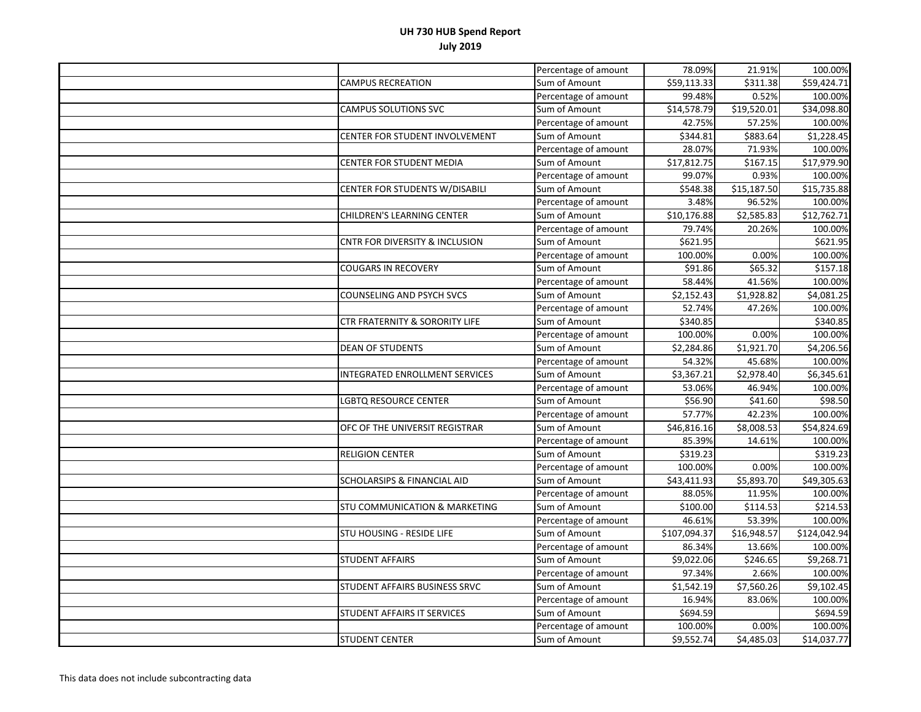|                                           | Percentage of amount | 78.09%       | 21.91%                  | 100.00%      |
|-------------------------------------------|----------------------|--------------|-------------------------|--------------|
| <b>CAMPUS RECREATION</b>                  | Sum of Amount        | \$59,113.33  | \$311.38                | \$59,424.71  |
|                                           | Percentage of amount | 99.48%       | 0.52%                   | 100.00%      |
| <b>CAMPUS SOLUTIONS SVC</b>               | Sum of Amount        | \$14,578.79  | $\overline{$}19,520.01$ | \$34,098.80  |
|                                           | Percentage of amount | 42.75%       | 57.25%                  | 100.00%      |
| CENTER FOR STUDENT INVOLVEMENT            | Sum of Amount        | \$344.81     | \$883.64                | \$1,228.45   |
|                                           | Percentage of amount | 28.07%       | 71.93%                  | 100.00%      |
| CENTER FOR STUDENT MEDIA                  | Sum of Amount        | \$17,812.75  | \$167.15                | \$17,979.90  |
|                                           | Percentage of amount | 99.07%       | 0.93%                   | 100.00%      |
| CENTER FOR STUDENTS W/DISABILI            | Sum of Amount        | \$548.38     | \$15,187.50             | \$15,735.88  |
|                                           | Percentage of amount | 3.48%        | 96.52%                  | 100.00%      |
| CHILDREN'S LEARNING CENTER                | Sum of Amount        | \$10,176.88  | \$2,585.83              | \$12,762.71  |
|                                           | Percentage of amount | 79.74%       | 20.26%                  | 100.00%      |
| <b>CNTR FOR DIVERSITY &amp; INCLUSION</b> | Sum of Amount        | \$621.95     |                         | \$621.95     |
|                                           | Percentage of amount | 100.00%      | 0.00%                   | 100.00%      |
| <b>COUGARS IN RECOVERY</b>                | Sum of Amount        | \$91.86      | \$65.32                 | \$157.18     |
|                                           | Percentage of amount | 58.44%       | 41.56%                  | 100.00%      |
| COUNSELING AND PSYCH SVCS                 | Sum of Amount        | \$2,152.43   | \$1,928.82              | \$4,081.25   |
|                                           | Percentage of amount | 52.74%       | 47.26%                  | 100.00%      |
| CTR FRATERNITY & SORORITY LIFE            | Sum of Amount        | \$340.85     |                         | \$340.85     |
|                                           | Percentage of amount | 100.00%      | 0.00%                   | 100.00%      |
| <b>DEAN OF STUDENTS</b>                   | Sum of Amount        | \$2,284.86   | \$1,921.70              | \$4,206.56   |
|                                           | Percentage of amount | 54.32%       | 45.68%                  | 100.00%      |
| <b>INTEGRATED ENROLLMENT SERVICES</b>     | Sum of Amount        | \$3,367.21   | \$2,978.40              | \$6,345.61   |
|                                           | Percentage of amount | 53.06%       | 46.94%                  | 100.00%      |
| LGBTQ RESOURCE CENTER                     | Sum of Amount        | \$56.90      | \$41.60                 | \$98.50      |
|                                           | Percentage of amount | 57.77%       | 42.23%                  | 100.00%      |
| OFC OF THE UNIVERSIT REGISTRAR            | Sum of Amount        | \$46,816.16  | \$8,008.53              | \$54,824.69  |
|                                           | Percentage of amount | 85.39%       | 14.61%                  | 100.00%      |
| <b>RELIGION CENTER</b>                    | Sum of Amount        | \$319.23     |                         | \$319.23     |
|                                           | Percentage of amount | 100.00%      | 0.00%                   | 100.00%      |
| <b>SCHOLARSIPS &amp; FINANCIAL AID</b>    | Sum of Amount        | \$43,411.93  | \$5,893.70              | \$49,305.63  |
|                                           | Percentage of amount | 88.05%       | 11.95%                  | 100.00%      |
| STU COMMUNICATION & MARKETING             | Sum of Amount        | \$100.00     | \$114.53                | \$214.53     |
|                                           | Percentage of amount | 46.61%       | 53.39%                  | 100.00%      |
| STU HOUSING - RESIDE LIFE                 | Sum of Amount        | \$107,094.37 | \$16,948.57             | \$124,042.94 |
|                                           | Percentage of amount | 86.34%       | 13.66%                  | 100.00%      |
| <b>STUDENT AFFAIRS</b>                    | Sum of Amount        | \$9,022.06   | \$246.65                | \$9,268.71   |
|                                           | Percentage of amount | 97.34%       | 2.66%                   | 100.00%      |
| STUDENT AFFAIRS BUSINESS SRVC             | Sum of Amount        | \$1,542.19   | \$7,560.26              | \$9,102.45   |
|                                           | Percentage of amount | 16.94%       | 83.06%                  | 100.00%      |
| STUDENT AFFAIRS IT SERVICES               | Sum of Amount        | \$694.59     |                         | \$694.59     |
|                                           | Percentage of amount | 100.00%      | 0.00%                   | 100.00%      |
| <b>STUDENT CENTER</b>                     | Sum of Amount        | \$9,552.74   | \$4,485.03              | \$14,037.77  |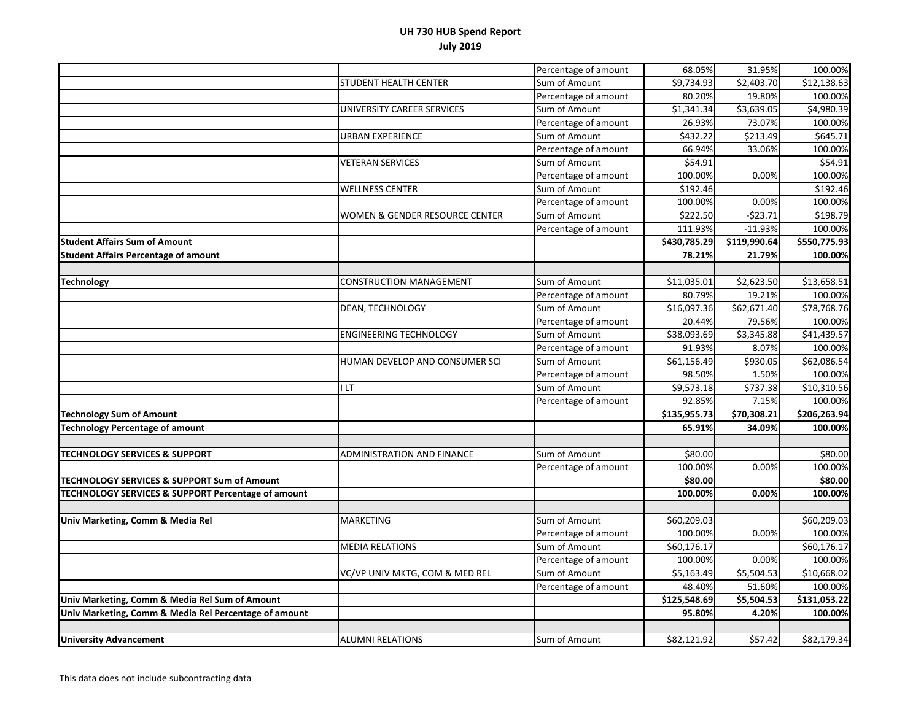|                                                        |                                           | Percentage of amount | 68.05%                  | 31.95%       | 100.00%      |
|--------------------------------------------------------|-------------------------------------------|----------------------|-------------------------|--------------|--------------|
|                                                        | STUDENT HEALTH CENTER                     | Sum of Amount        | \$9,734.93              | \$2,403.70   | \$12,138.63  |
|                                                        |                                           | Percentage of amount | 80.20%                  | 19.80%       | 100.00%      |
|                                                        | UNIVERSITY CAREER SERVICES                | Sum of Amount        | \$1,341.34              | \$3,639.05   | \$4,980.39   |
|                                                        |                                           | Percentage of amount | 26.93%                  | 73.07%       | 100.00%      |
|                                                        | URBAN EXPERIENCE                          | Sum of Amount        | \$432.22                | \$213.49     | \$645.71     |
|                                                        |                                           | Percentage of amount | 66.94%                  | 33.06%       | 100.00%      |
|                                                        | <b>VETERAN SERVICES</b>                   | Sum of Amount        | \$54.91                 |              | \$54.91      |
|                                                        |                                           | Percentage of amount | 100.00%                 | 0.00%        | 100.00%      |
|                                                        | <b>WELLNESS CENTER</b>                    | Sum of Amount        | \$192.46                |              | \$192.46     |
|                                                        |                                           | Percentage of amount | 100.00%                 | 0.00%        | 100.00%      |
|                                                        | <b>WOMEN &amp; GENDER RESOURCE CENTER</b> | Sum of Amount        | \$222.50                | $-523.71$    | \$198.79     |
|                                                        |                                           | Percentage of amount | 111.93%                 | $-11.93%$    | 100.00%      |
| <b>Student Affairs Sum of Amount</b>                   |                                           |                      | \$430,785.29            | \$119,990.64 | \$550,775.93 |
| <b>Student Affairs Percentage of amount</b>            |                                           |                      | 78.21%                  | 21.79%       | 100.00%      |
|                                                        |                                           |                      |                         |              |              |
| <b>Technology</b>                                      | <b>CONSTRUCTION MANAGEMENT</b>            | Sum of Amount        | \$11,035.01             | \$2,623.50   | \$13,658.51  |
|                                                        |                                           | Percentage of amount | 80.79%                  | 19.21%       | 100.00%      |
|                                                        | DEAN, TECHNOLOGY                          | Sum of Amount        | $\overline{$}16,097.36$ | \$62,671.40  | \$78,768.76  |
|                                                        |                                           | Percentage of amount | 20.44%                  | 79.56%       | 100.00%      |
|                                                        | <b>ENGINEERING TECHNOLOGY</b>             | Sum of Amount        | \$38,093.69             | \$3,345.88   | \$41,439.57  |
|                                                        |                                           | Percentage of amount | 91.93%                  | 8.07%        | 100.00%      |
|                                                        | HUMAN DEVELOP AND CONSUMER SCI            | Sum of Amount        | 561,156.49              | \$930.05     | \$62,086.54  |
|                                                        |                                           | Percentage of amount | 98.50%                  | 1.50%        | 100.00%      |
|                                                        | I LT                                      | Sum of Amount        | \$9,573.18              | \$737.38     | \$10,310.56  |
|                                                        |                                           | Percentage of amount | 92.85%                  | 7.15%        | 100.00%      |
| <b>Technology Sum of Amount</b>                        |                                           |                      | \$135,955.73            | \$70,308.21  | \$206,263.94 |
| <b>Technology Percentage of amount</b>                 |                                           |                      | 65.91%                  | 34.09%       | 100.00%      |
|                                                        |                                           |                      |                         |              |              |
| <b>TECHNOLOGY SERVICES &amp; SUPPORT</b>               | <b>ADMINISTRATION AND FINANCE</b>         | Sum of Amount        | \$80.00                 |              | \$80.00      |
|                                                        |                                           | Percentage of amount | 100.00%                 | 0.00%        | 100.00%      |
| <b>TECHNOLOGY SERVICES &amp; SUPPORT Sum of Amount</b> |                                           |                      | \$80.00                 |              | \$80.00      |
| TECHNOLOGY SERVICES & SUPPORT Percentage of amount     |                                           |                      | 100.00%                 | 0.00%        | 100.00%      |
|                                                        |                                           |                      |                         |              |              |
| Univ Marketing, Comm & Media Rel                       | <b>MARKETING</b>                          | Sum of Amount        | \$60,209.03             |              | \$60,209.03  |
|                                                        |                                           | Percentage of amount | 100.00%                 | 0.00%        | 100.00%      |
|                                                        | <b>MEDIA RELATIONS</b>                    | Sum of Amount        | \$60,176.17             |              | \$60,176.17  |
|                                                        |                                           | Percentage of amount | 100.00%                 | 0.00%        | 100.00%      |
|                                                        | VC/VP UNIV MKTG, COM & MED REL            | Sum of Amount        | \$5,163.49              | \$5,504.53   | \$10,668.02  |
|                                                        |                                           | Percentage of amount | 48.40%                  | 51.60%       | 100.00%      |
| Univ Marketing, Comm & Media Rel Sum of Amount         |                                           |                      | \$125,548.69            | \$5,504.53   | \$131,053.22 |
| Univ Marketing, Comm & Media Rel Percentage of amount  |                                           |                      | 95.80%                  | 4.20%        | 100.00%      |
|                                                        |                                           |                      |                         |              |              |
| <b>University Advancement</b>                          | <b>ALUMNI RELATIONS</b>                   | Sum of Amount        | \$82,121.92             | \$57.42      | \$82,179.34  |